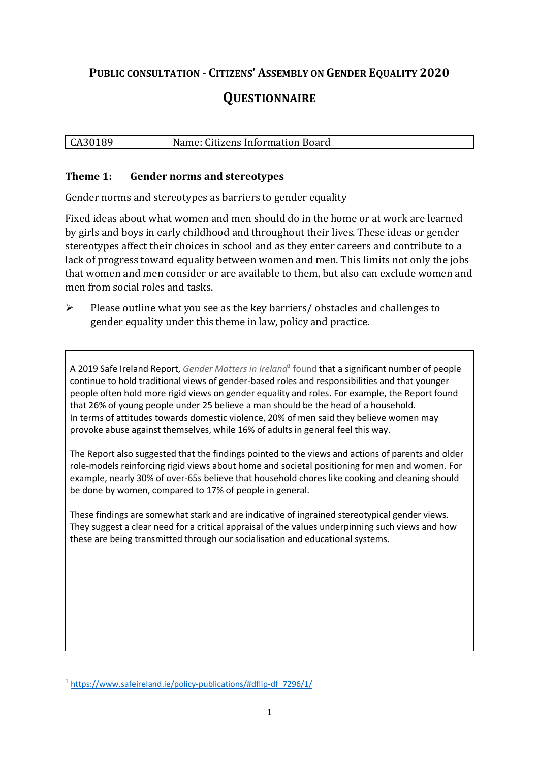# **PUBLIC CONSULTATION - CITIZENS' ASSEMBLY ON GENDER EQUALITY 2020 QUESTIONNAIRE**

# CA30189 Name: Citizens Information Board

## **Theme 1: Gender norms and stereotypes**

Gender norms and stereotypes as barriers to gender equality

Fixed ideas about what women and men should do in the home or at work are learned by girls and boys in early childhood and throughout their lives. These ideas or gender stereotypes affect their choices in school and as they enter careers and contribute to a lack of progress toward equality between women and men. This limits not only the jobs that women and men consider or are available to them, but also can exclude women and men from social roles and tasks.

➢ Please outline what you see as the key barriers/ obstacles and challenges to gender equality under this theme in law, policy and practice.

A 2019 Safe Ireland Report, *Gender Matters in Ireland<sup>1</sup>* found that a significant number of people continue to hold traditional views of gender-based roles and responsibilities and that younger people often hold more rigid views on gender equality and roles. For example, the Report found that 26% of young people under 25 believe a man should be the head of a household. In terms of attitudes towards domestic violence, 20% of men said they believe women may provoke abuse against themselves, while 16% of adults in general feel this way.

The Report also suggested that the findings pointed to the views and actions of parents and older role-models reinforcing rigid views about home and societal positioning for men and women. For example, nearly 30% of over-65s believe that household chores like cooking and cleaning should be done by women, compared to 17% of people in general.

These findings are somewhat stark and are indicative of ingrained stereotypical gender views. They suggest a clear need for a critical appraisal of the values underpinning such views and how these are being transmitted through our socialisation and educational systems.

1

<sup>1</sup> [https://www.safeireland.ie/policy-publications/#dflip-df\\_7296/1/](https://www.safeireland.ie/policy-publications/#dflip-df_7296/1/)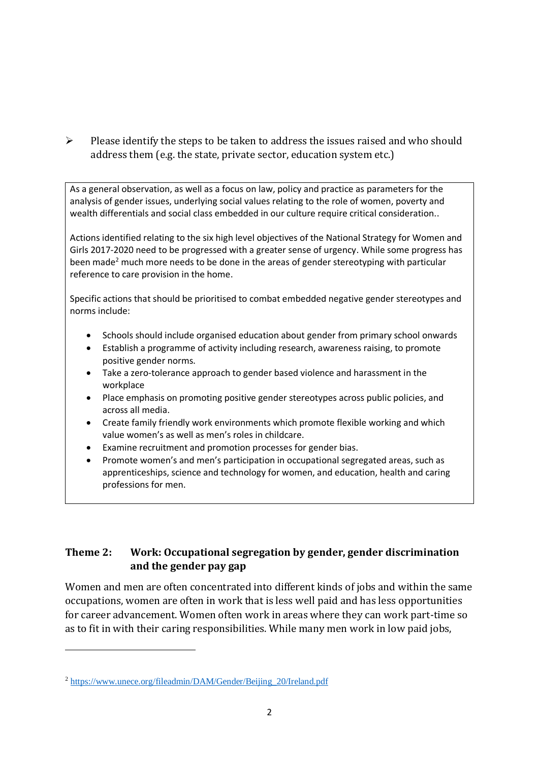➢ Please identify the steps to be taken to address the issues raised and who should address them (e.g. the state, private sector, education system etc.)

As a general observation, as well as a focus on law, policy and practice as parameters for the analysis of gender issues, underlying social values relating to the role of women, poverty and wealth differentials and social class embedded in our culture require critical consideration..

Actions identified relating to the six high level objectives of the National Strategy for Women and Girls 2017-2020 need to be progressed with a greater sense of urgency. While some progress has been made<sup>2</sup> much more needs to be done in the areas of gender stereotyping with particular reference to care provision in the home.

Specific actions that should be prioritised to combat embedded negative gender stereotypes and norms include:

- Schools should include organised education about gender from primary school onwards
- Establish a programme of activity including research, awareness raising, to promote positive gender norms.
- Take a zero-tolerance approach to gender based violence and harassment in the workplace
- Place emphasis on promoting positive gender stereotypes across public policies, and across all media.
- Create family friendly work environments which promote flexible working and which value women's as well as men's roles in childcare.
- Examine recruitment and promotion processes for gender bias.
- Promote women's and men's participation in occupational segregated areas, such as apprenticeships, science and technology for women, and education, health and caring professions for men.

# **Theme 2: Work: Occupational segregation by gender, gender discrimination and the gender pay gap**

Women and men are often concentrated into different kinds of jobs and within the same occupations, women are often in work that is less well paid and has less opportunities for career advancement. Women often work in areas where they can work part-time so as to fit in with their caring responsibilities. While many men work in low paid jobs,

1

<sup>2</sup> [https://www.unece.org/fileadmin/DAM/Gender/Beijing\\_20/Ireland.pdf](https://www.unece.org/fileadmin/DAM/Gender/Beijing_20/Ireland.pdf)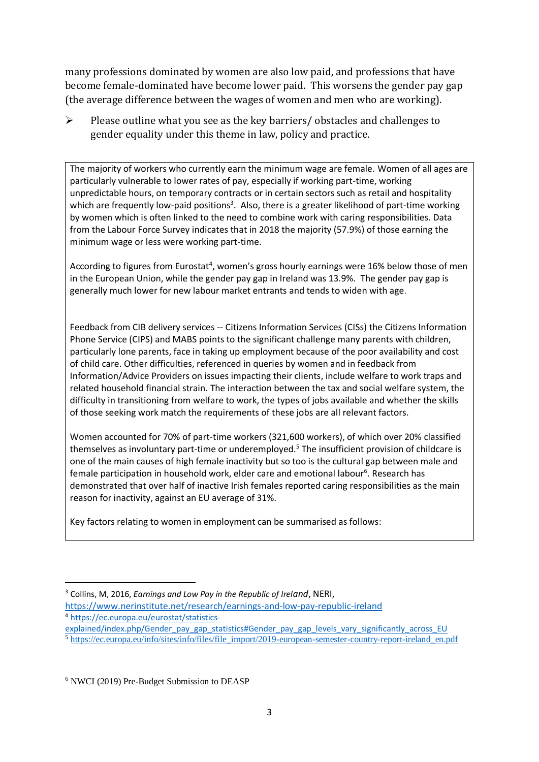many professions dominated by women are also low paid, and professions that have become female-dominated have become lower paid. This worsens the gender pay gap (the average difference between the wages of women and men who are working).

➢ Please outline what you see as the key barriers/ obstacles and challenges to gender equality under this theme in law, policy and practice.

The majority of workers who currently earn the minimum wage are female. Women of all ages are particularly vulnerable to lower rates of pay, especially if working part-time, working unpredictable hours, on temporary contracts or in certain sectors such as retail and hospitality which are frequently low-paid positions<sup>3</sup>. Also, there is a greater likelihood of part-time working by women which is often linked to the need to combine work with caring responsibilities. Data from the Labour Force Survey indicates that in 2018 the majority (57.9%) of those earning the minimum wage or less were working part-time.

According to figures from Eurostat<sup>4</sup>, women's gross hourly earnings were 16% below those of men in the European Union, while the gender pay gap in Ireland was 13.9%. The gender pay gap is generally much lower for new labour market entrants and tends to widen with age.

Feedback from CIB delivery services -- Citizens Information Services (CISs) the Citizens Information Phone Service (CIPS) and MABS points to the significant challenge many parents with children, particularly lone parents, face in taking up employment because of the poor availability and cost of child care. Other difficulties, referenced in queries by women and in feedback from Information/Advice Providers on issues impacting their clients, include welfare to work traps and related household financial strain. The interaction between the tax and social welfare system, the difficulty in transitioning from welfare to work, the types of jobs available and whether the skills of those seeking work match the requirements of these jobs are all relevant factors.

Women accounted for 70% of part-time workers (321,600 workers), of which over 20% classified themselves as involuntary part-time or underemployed.<sup>5</sup> The insufficient provision of childcare is one of the main causes of high female inactivity but so too is the cultural gap between male and female participation in household work, elder care and emotional labour<sup>6</sup>. Research has demonstrated that over half of inactive Irish females reported caring responsibilities as the main reason for inactivity, against an EU average of 31%.

Key factors relating to women in employment can be summarised as follows:

- <https://www.nerinstitute.net/research/earnings-and-low-pay-republic-ireland> <sup>4</sup> [https://ec.europa.eu/eurostat/statistics-](https://ec.europa.eu/eurostat/statistics-explained/index.php/Gender_pay_gap_statistics#Gender_pay_gap_levels_vary_significantly_across_EU)
- [explained/index.php/Gender\\_pay\\_gap\\_statistics#Gender\\_pay\\_gap\\_levels\\_vary\\_significantly\\_across\\_EU](https://ec.europa.eu/eurostat/statistics-explained/index.php/Gender_pay_gap_statistics#Gender_pay_gap_levels_vary_significantly_across_EU)
- <sup>5</sup> [https://ec.europa.eu/info/sites/info/files/file\\_import/2019-european-semester-country-report-ireland\\_en.pdf](https://ec.europa.eu/info/sites/info/files/file_import/2019-european-semester-country-report-ireland_en.pdf)

-

<sup>3</sup> Collins, M, 2016, *Earnings and Low Pay in the Republic of Ireland*, NERI,

<sup>6</sup> NWCI (2019) Pre-Budget Submission to DEASP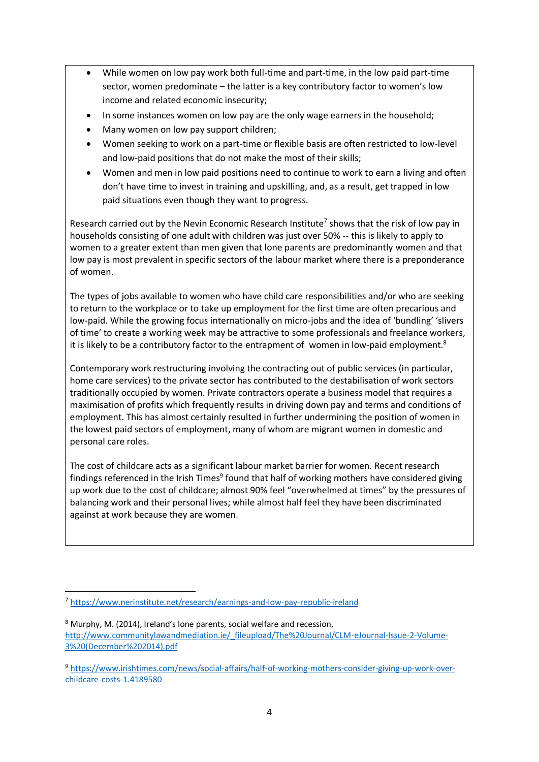- While women on low pay work both full-time and part-time, in the low paid part-time sector, women predominate – the latter is a key contributory factor to women's low income and related economic insecurity;
- In some instances women on low pay are the only wage earners in the household;
- Many women on low pay support children;
- Women seeking to work on a part-time or flexible basis are often restricted to low-level and low-paid positions that do not make the most of their skills;
- Women and men in low paid positions need to continue to work to earn a living and often don't have time to invest in training and upskilling, and, as a result, get trapped in low paid situations even though they want to progress.

Research carried out by the Nevin Economic Research Institute<sup>7</sup> shows that the risk of low pay in households consisting of one adult with children was just over 50% -- this is likely to apply to women to a greater extent than men given that lone parents are predominantly women and that low pay is most prevalent in specific sectors of the labour market where there is a preponderance of women.

The types of jobs available to women who have child care responsibilities and/or who are seeking to return to the workplace or to take up employment for the first time are often precarious and low-paid. While the growing focus internationally on micro-jobs and the idea of 'bundling' 'slivers of time' to create a working week may be attractive to some professionals and freelance workers, it is likely to be a contributory factor to the entrapment of women in low-paid employment.<sup>8</sup>

Contemporary work restructuring involving the contracting out of public services (in particular, home care services) to the private sector has contributed to the destabilisation of work sectors traditionally occupied by women. Private contractors operate a business model that requires a maximisation of profits which frequently results in driving down pay and terms and conditions of employment. This has almost certainly resulted in further undermining the position of women in the lowest paid sectors of employment, many of whom are migrant women in domestic and personal care roles.

The cost of childcare acts as a significant labour market barrier for women. Recent research findings referenced in the Irish Times<sup>9</sup> found that half of working mothers have considered giving up work due to the cost of childcare; almost 90% feel "overwhelmed at times" by the pressures of balancing work and their personal lives; while almost half feel they have been discriminated against at work because they are women.

**.** 

<sup>7</sup> <https://www.nerinstitute.net/research/earnings-and-low-pay-republic-ireland>

<sup>8</sup> Murphy, M. (2014), Ireland's lone parents, social welfare and recession, [http://www.communitylawandmediation.ie/\\_fileupload/The%20Journal/CLM-eJournal-Issue-2-Volume-](http://www.communitylawandmediation.ie/_fileupload/The%20Journal/CLM-eJournal-Issue-2-Volume-3%20(December%202014).pdf)[3%20\(December%202014\).pdf](http://www.communitylawandmediation.ie/_fileupload/The%20Journal/CLM-eJournal-Issue-2-Volume-3%20(December%202014).pdf)

<sup>9</sup> [https://www.irishtimes.com/news/social-affairs/half-of-working-mothers-consider-giving-up-work-over](https://www.irishtimes.com/news/social-affairs/half-of-working-mothers-consider-giving-up-work-over-childcare-costs-1.4189580)[childcare-costs-1.4189580](https://www.irishtimes.com/news/social-affairs/half-of-working-mothers-consider-giving-up-work-over-childcare-costs-1.4189580)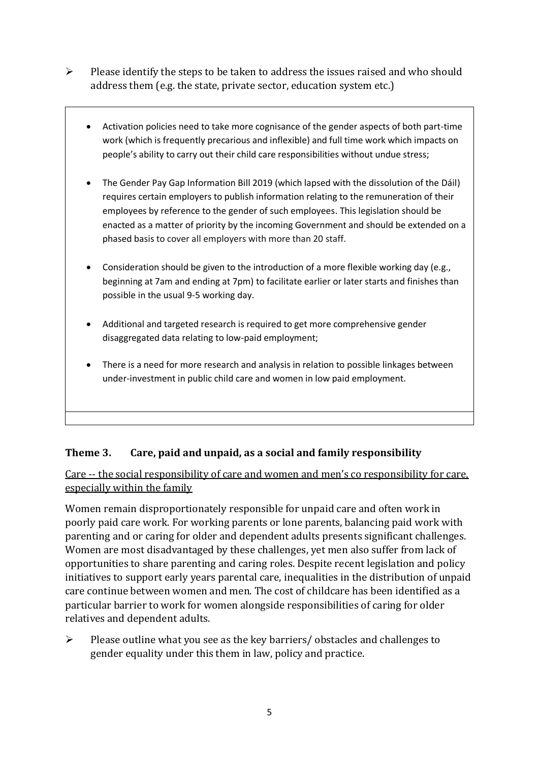- ➢ Please identify the steps to be taken to address the issues raised and who should address them (e.g. the state, private sector, education system etc.)
	- Activation policies need to take more cognisance of the gender aspects of both part-time work (which is frequently precarious and inflexible) and full time work which impacts on people's ability to carry out their child care responsibilities without undue stress;
	- The Gender Pay Gap Information Bill 2019 (which lapsed with the dissolution of the Dáil) requires certain employers to publish information relating to the remuneration of their employees by reference to the gender of such employees. This legislation should be enacted as a matter of priority by the incoming Government and should be extended on a phased basis to cover all employers with more than 20 staff.
	- Consideration should be given to the introduction of a more flexible working day (e.g., beginning at 7am and ending at 7pm) to facilitate earlier or later starts and finishes than possible in the usual 9-5 working day.
	- Additional and targeted research is required to get more comprehensive gender disaggregated data relating to low-paid employment;
	- There is a need for more research and analysis in relation to possible linkages between under-investment in public child care and women in low paid employment.

# **Theme 3. Care, paid and unpaid, as a social and family responsibility**

Care -- the social responsibility of care and women and men's co responsibility for care, especially within the family

Women remain disproportionately responsible for unpaid care and often work in poorly paid care work. For working parents or [lone parents,](https://aran.library.nuigalway.ie/bitstream/handle/10379/6044/Millar_and_Crosse_Activation_Report.pdf?sequence=1&isAllowed=y) balancing paid work with parenting and or caring for older and dependent adults presents significant challenges. Women are [most disadvantaged by these challenges,](https://eige.europa.eu/gender-equality-index/game/IE/W) yet men also suffer from lack of opportunities to share parenting and caring roles. Despite recent legislation and policy initiatives to support early years parental care, [inequalities in the distribution of unpaid](https://www.ihrec.ie/app/uploads/2019/07/Caring-and-Unpaid-Work-in-Ireland_Final.pdf)  [care](https://www.ihrec.ie/app/uploads/2019/07/Caring-and-Unpaid-Work-in-Ireland_Final.pdf) continue between women and men. The cost of childcare has been identified as a particular barrier to work for women alongside responsibilities of caring for older relatives and dependent adults.

 $\triangleright$  Please outline what you see as the key barriers/ obstacles and challenges to gender equality under this them in law, policy and practice.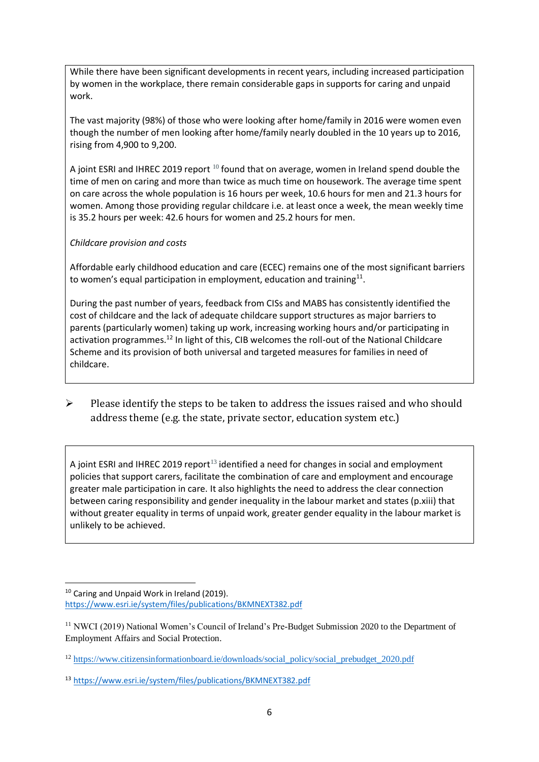While there have been significant developments in recent years, including increased participation by women in the workplace, there remain considerable gaps in supports for caring and unpaid work.

The vast majority (98%) of those who were looking after home/family in 2016 were women even though the number of men looking after home/family nearly doubled in the 10 years up to 2016, rising from 4,900 to 9,200.

A joint ESRI and IHREC 2019 report <sup>10</sup> found that on average, women in Ireland spend double the time of men on caring and more than twice as much time on housework. The average time spent on care across the whole population is 16 hours per week, 10.6 hours for men and 21.3 hours for women. Among those providing regular childcare i.e. at least once a week, the mean weekly time is 35.2 hours per week: 42.6 hours for women and 25.2 hours for men.

#### *Childcare provision and costs*

Affordable early childhood education and care (ECEC) remains one of the most significant barriers to women's equal participation in employment, education and training $^{11}$ .

During the past number of years, feedback from CISs and MABS has consistently identified the cost of childcare and the lack of adequate childcare support structures as major barriers to parents (particularly women) taking up work, increasing working hours and/or participating in activation programmes.<sup>12</sup> In light of this, CIB welcomes the roll-out of the National Childcare Scheme and its provision of both universal and targeted measures for families in need of childcare.

➢ Please identify the steps to be taken to address the issues raised and who should address theme (e.g. the state, private sector, education system etc.)

A joint ESRI and IHREC 2019 report<sup>13</sup> identified a need for changes in social and employment policies that support carers, facilitate the combination of care and employment and encourage greater male participation in care. It also highlights the need to address the clear connection between caring responsibility and gender inequality in the labour market and states (p.xiii) that without greater equality in terms of unpaid work, greater gender equality in the labour market is unlikely to be achieved.

<sup>1</sup> <sup>10</sup> Caring and Unpaid Work in Ireland (2019). <https://www.esri.ie/system/files/publications/BKMNEXT382.pdf>

<sup>&</sup>lt;sup>11</sup> NWCI (2019) National Women's Council of Ireland's Pre-Budget Submission 2020 to the Department of Employment Affairs and Social Protection.

<sup>&</sup>lt;sup>12</sup> [https://www.citizensinformationboard.ie/downloads/social\\_policy/social\\_prebudget\\_2020.pdf](https://www.citizensinformationboard.ie/downloads/social_policy/social_prebudget_2020.pdf)

<sup>13</sup> <https://www.esri.ie/system/files/publications/BKMNEXT382.pdf>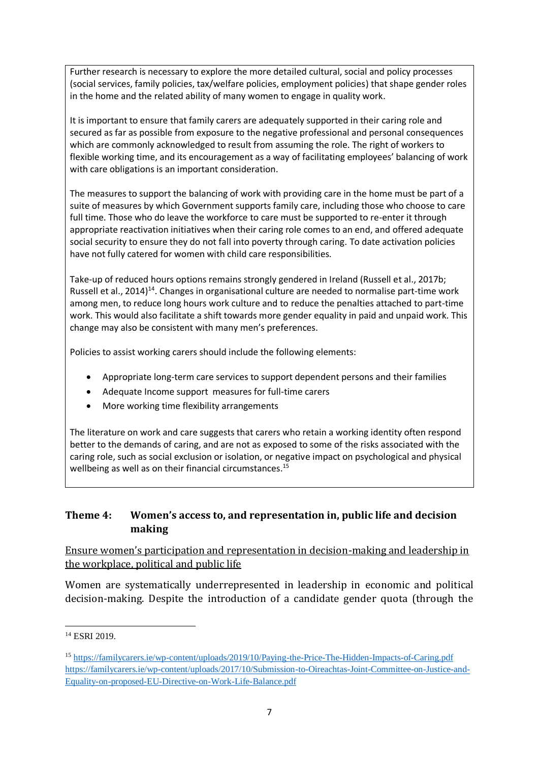Further research is necessary to explore the more detailed cultural, social and policy processes (social services, family policies, tax/welfare policies, employment policies) that shape gender roles in the home and the related ability of many women to engage in quality work.

It is important to ensure that family carers are adequately supported in their caring role and secured as far as possible from exposure to the negative professional and personal consequences which are commonly acknowledged to result from assuming the role. The right of workers to flexible working time, and its encouragement as a way of facilitating employees' balancing of work with care obligations is an important consideration.

The measures to support the balancing of work with providing care in the home must be part of a suite of measures by which Government supports family care, including those who choose to care full time. Those who do leave the workforce to care must be supported to re-enter it through appropriate reactivation initiatives when their caring role comes to an end, and offered adequate social security to ensure they do not fall into poverty through caring. To date activation policies have not fully catered for women with child care responsibilities.

Take-up of reduced hours options remains strongly gendered in Ireland (Russell et al., 2017b; Russell et al., 2014)<sup>14</sup>. Changes in organisational culture are needed to normalise part-time work among men, to reduce long hours work culture and to reduce the penalties attached to part-time work. This would also facilitate a shift towards more gender equality in paid and unpaid work. This change may also be consistent with many men's preferences.

Policies to assist working carers should include the following elements:

- Appropriate long-term care services to support dependent persons and their families
- Adequate Income support measures for full-time carers
- More working time flexibility arrangements

The literature on work and care suggests that carers who retain a working identity often respond better to the demands of caring, and are not as exposed to some of the risks associated with the caring role, such as social exclusion or isolation, or negative impact on psychological and physical wellbeing as well as on their financial circumstances.<sup>15</sup>

### **Theme 4: Women's access to, and representation in, public life and decision making**

Ensure women's participation and representation in decision-making and leadership in the workplace, political and public life

Women are systematically underrepresented in leadership in [economic](https://eige.europa.eu/gender-equality-index/2019/compare-countries/power/2/bar) and [political](https://eige.europa.eu/gender-equality-index/2019/compare-countries/power/1/bar)  [decision-](https://eige.europa.eu/gender-equality-index/2019/compare-countries/power/1/bar)making. Despite the introduction of a candidate gender quota (through the

<sup>-</sup><sup>14</sup> ESRI 2019.

<sup>15</sup> <https://familycarers.ie/wp-content/uploads/2019/10/Paying-the-Price-The-Hidden-Impacts-of-Caring.pdf> [https://familycarers.ie/wp-content/uploads/2017/10/Submission-to-Oireachtas-Joint-Committee-on-Justice-and-](https://familycarers.ie/wp-content/uploads/2017/10/Submission-to-Oireachtas-Joint-Committee-on-Justice-and-Equality-on-proposed-EU-Directive-on-Work-Life-Balance.pdf)[Equality-on-proposed-EU-Directive-on-Work-Life-Balance.pdf](https://familycarers.ie/wp-content/uploads/2017/10/Submission-to-Oireachtas-Joint-Committee-on-Justice-and-Equality-on-proposed-EU-Directive-on-Work-Life-Balance.pdf)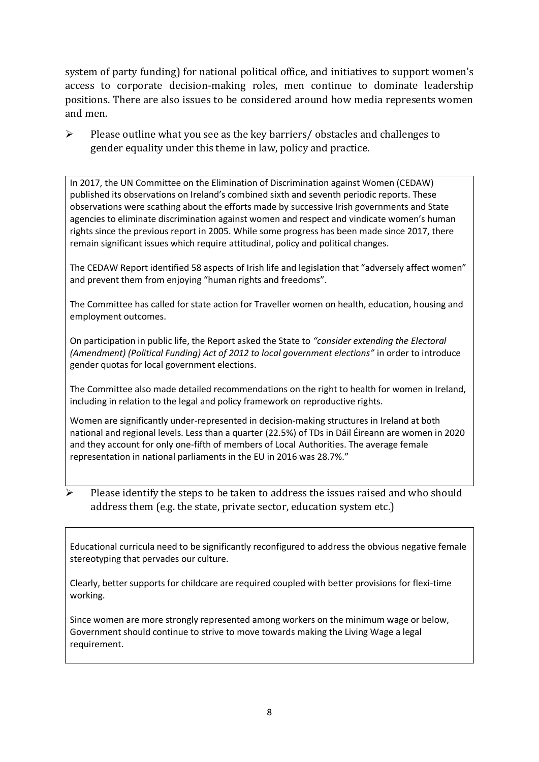system of party funding) for national political office, and [initiatives](https://betterbalance.ie/) to support women's access to corporate decision-making roles, men continue to dominate leadership positions. There are also issues to be considered around how media represents women and men.

 $\triangleright$  Please outline what you see as the key barriers/ obstacles and challenges to gender equality under this theme in law, policy and practice.

In 2017, the UN Committee on the Elimination of Discrimination against Women (CEDAW) published its observations on Ireland's combined sixth and seventh periodic reports. These observations were scathing about the efforts made by successive Irish governments and State agencies to eliminate discrimination against women and respect and vindicate women's human rights since the previous report in 2005. While some progress has been made since 2017, there remain significant issues which require attitudinal, policy and political changes.

The CEDAW Report identified 58 aspects of Irish life and legislation that "adversely affect women" and prevent them from enjoying "human rights and freedoms".

The Committee has called for state action for Traveller women on health, education, housing and employment outcomes.

On participation in public life, the Report asked the State to *"consider extending the Electoral (Amendment) (Political Funding) Act of 2012 to local government elections"* in order to introduce gender quotas for local government elections.

The Committee also made detailed recommendations on the right to health for women in Ireland, including in relation to the legal and policy framework on reproductive rights.

Women are significantly under-represented in decision-making structures in Ireland at both national and regional levels. Less than a quarter (22.5%) of TDs in Dáil Éireann are women in 2020 and they account for only one-fifth of members of Local Authorities. The average female representation in national parliaments in the EU in 2016 was 28.7%."

Please identify the steps to be taken to address the issues raised and who should address them (e.g. the state, private sector, education system etc.)

Educational curricula need to be significantly reconfigured to address the obvious negative female stereotyping that pervades our culture.

Clearly, better supports for childcare are required coupled with better provisions for flexi-time working.

Since women are more strongly represented among workers on the minimum wage or below, Government should continue to strive to move towards making the Living Wage a legal requirement.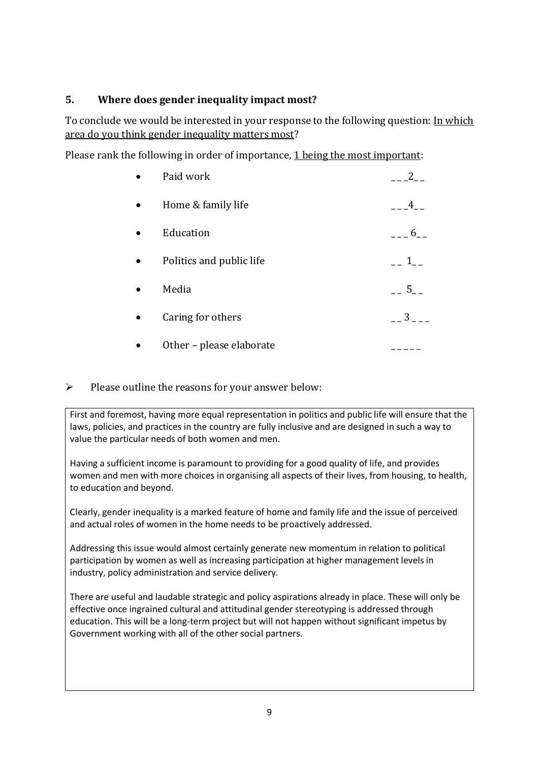# **5. Where does gender inequality impact most?**

To conclude we would be interested in your response to the following question: In which area do you think gender inequality matters most?

Please rank the following in order of importance, 1 being the most important:

|           | Paid work                | 2                       |
|-----------|--------------------------|-------------------------|
| $\bullet$ | Home & family life       | 4                       |
|           | Education                | 6                       |
|           | Politics and public life | $1 \quad$               |
|           | Media                    | 5 <sup>5</sup>          |
|           | Caring for others        | $\overline{\mathbf{3}}$ |
|           | Other - please elaborate |                         |

## ➢ Please outline the reasons for your answer below:

First and foremost, having more equal representation in politics and public life will ensure that the laws, policies, and practices in the country are fully inclusive and are designed in such a way to value the particular needs of both women and men.

Having a sufficient income is paramount to providing for a good quality of life, and provides women and men with more choices in organising all aspects of their lives, from housing, to health, to education and beyond.

Clearly, gender inequality is a marked feature of home and family life and the issue of perceived and actual roles of women in the home needs to be proactively addressed.

Addressing this issue would almost certainly generate new momentum in relation to political participation by women as well as increasing participation at higher management levels in industry, policy administration and service delivery.

There are useful and laudable strategic and policy aspirations already in place. These will only be effective once ingrained cultural and attitudinal gender stereotyping is addressed through education. This will be a long-term project but will not happen without significant impetus by Government working with all of the other social partners.